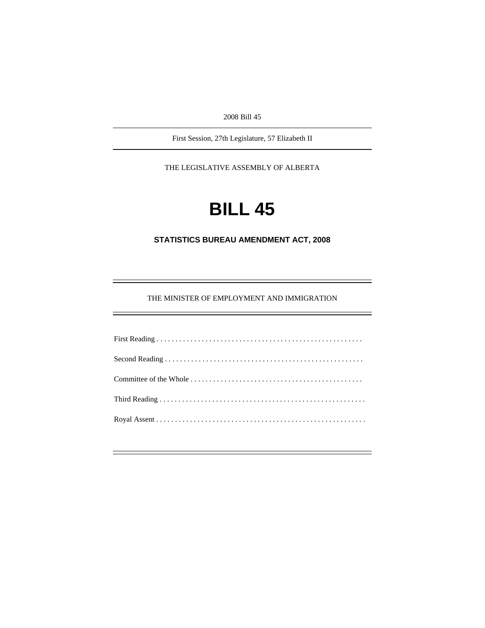2008 Bill 45

First Session, 27th Legislature, 57 Elizabeth II

THE LEGISLATIVE ASSEMBLY OF ALBERTA

# **BILL 45**

**STATISTICS BUREAU AMENDMENT ACT, 2008** 

THE MINISTER OF EMPLOYMENT AND IMMIGRATION

÷.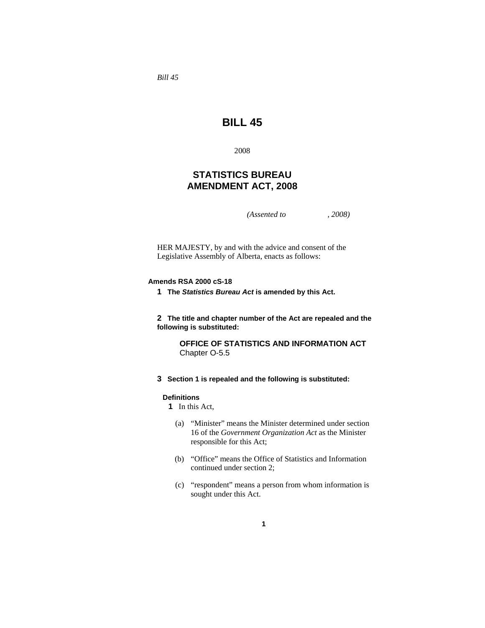*Bill 45* 

# **BILL 45**

2008

# **STATISTICS BUREAU AMENDMENT ACT, 2008**

*(Assented to , 2008)* 

HER MAJESTY, by and with the advice and consent of the Legislative Assembly of Alberta, enacts as follows:

# **Amends RSA 2000 cS-18**

**1 The** *Statistics Bureau Act* **is amended by this Act.** 

**2 The title and chapter number of the Act are repealed and the following is substituted:** 

> **OFFICE OF STATISTICS AND INFORMATION ACT** Chapter O-5.5

**3 Section 1 is repealed and the following is substituted:** 

#### **Definitions**

**1** In this Act,

- (a) "Minister" means the Minister determined under section 16 of the *Government Organization Act* as the Minister responsible for this Act;
- (b) "Office" means the Office of Statistics and Information continued under section 2;
- (c) "respondent" means a person from whom information is sought under this Act.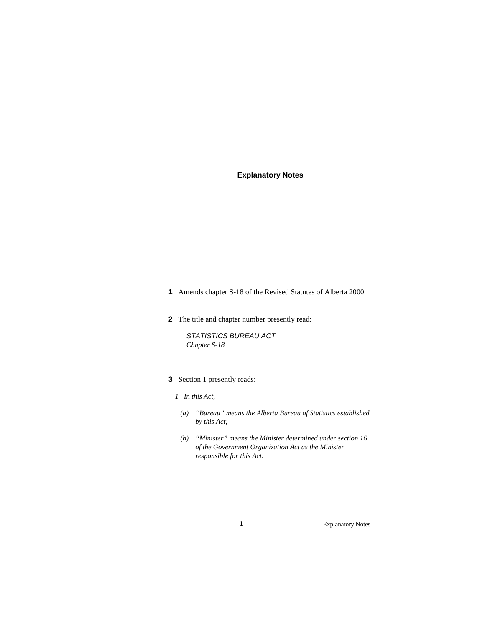# **Explanatory Notes**

- **1** Amends chapter S-18 of the Revised Statutes of Alberta 2000.
- **2** The title and chapter number presently read:

*STATISTICS BUREAU ACT Chapter S-18* 

**3** Section 1 presently reads:

# *1 In this Act,*

- *(a) "Bureau" means the Alberta Bureau of Statistics established by this Act;*
- *(b) "Minister" means the Minister determined under section 16 of the Government Organization Act as the Minister responsible for this Act.*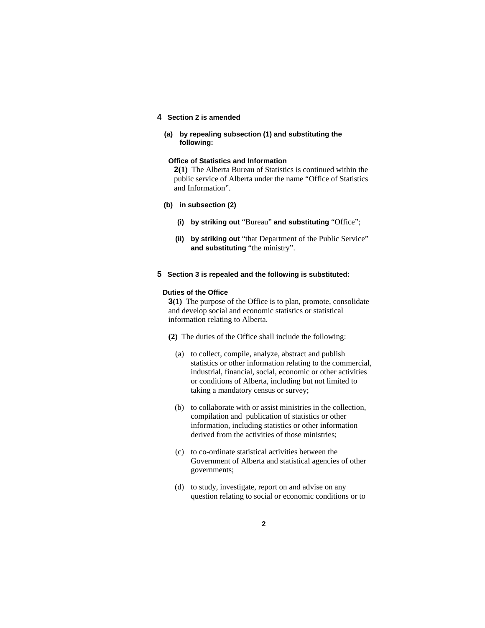# **4 Section 2 is amended**

**(a) by repealing subsection (1) and substituting the following:** 

# **Office of Statistics and Information**

**2(1)** The Alberta Bureau of Statistics is continued within the public service of Alberta under the name "Office of Statistics and Information".

#### **(b) in subsection (2)**

- **(i) by striking out** "Bureau" **and substituting** "Office";
- **(ii) by striking out** "that Department of the Public Service" **and substituting** "the ministry".
- **5 Section 3 is repealed and the following is substituted:**

#### **Duties of the Office**

**3(1)** The purpose of the Office is to plan, promote, consolidate and develop social and economic statistics or statistical information relating to Alberta.

- **(2)** The duties of the Office shall include the following:
	- (a) to collect, compile, analyze, abstract and publish statistics or other information relating to the commercial, industrial, financial, social, economic or other activities or conditions of Alberta, including but not limited to taking a mandatory census or survey;
	- (b) to collaborate with or assist ministries in the collection, compilation and publication of statistics or other information, including statistics or other information derived from the activities of those ministries;
	- (c) to co-ordinate statistical activities between the Government of Alberta and statistical agencies of other governments;
	- (d) to study, investigate, report on and advise on any question relating to social or economic conditions or to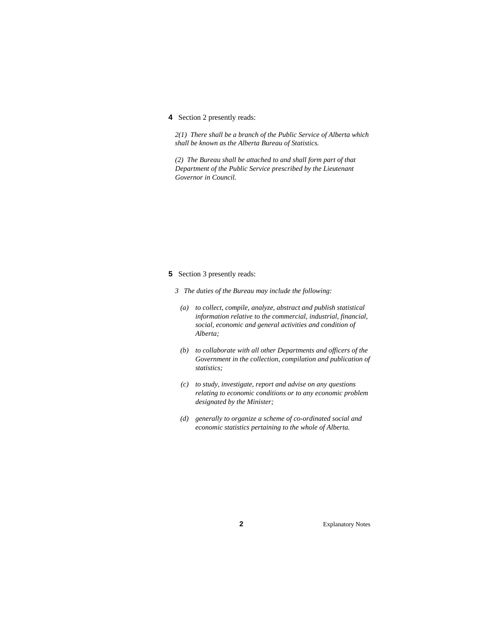# **4** Section 2 presently reads:

*2(1) There shall be a branch of the Public Service of Alberta which shall be known as the Alberta Bureau of Statistics.* 

*(2) The Bureau shall be attached to and shall form part of that Department of the Public Service prescribed by the Lieutenant Governor in Council.* 

### **5** Section 3 presently reads:

*3 The duties of the Bureau may include the following:* 

- *(a) to collect, compile, analyze, abstract and publish statistical information relative to the commercial, industrial, financial, social, economic and general activities and condition of Alberta;*
- *(b) to collaborate with all other Departments and officers of the Government in the collection, compilation and publication of statistics;*
- *(c) to study, investigate, report and advise on any questions relating to economic conditions or to any economic problem designated by the Minister;*
- *(d) generally to organize a scheme of co-ordinated social and economic statistics pertaining to the whole of Alberta.*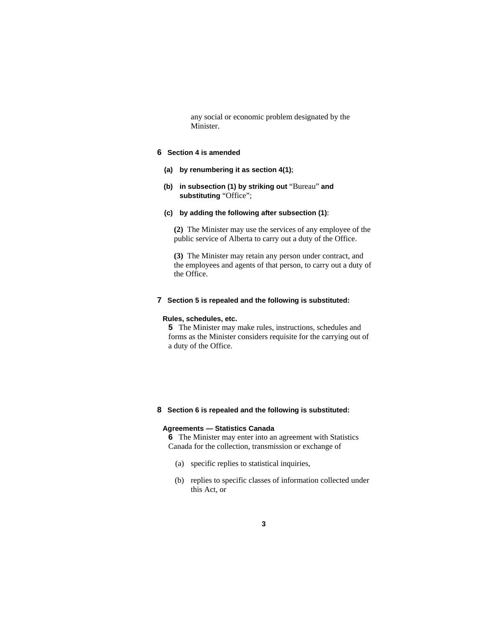any social or economic problem designated by the Minister.

## **6 Section 4 is amended**

- **(a) by renumbering it as section 4(1)**;
- **(b) in subsection (1) by striking out** "Bureau" **and substituting** "Office";

## **(c) by adding the following after subsection (1)**:

**(2)** The Minister may use the services of any employee of the public service of Alberta to carry out a duty of the Office.

**(3)** The Minister may retain any person under contract, and the employees and agents of that person, to carry out a duty of the Office.

#### **7 Section 5 is repealed and the following is substituted:**

#### **Rules, schedules, etc.**

**5** The Minister may make rules, instructions, schedules and forms as the Minister considers requisite for the carrying out of a duty of the Office.

#### **8 Section 6 is repealed and the following is substituted:**

#### **Agreements — Statistics Canada**

**6** The Minister may enter into an agreement with Statistics Canada for the collection, transmission or exchange of

- (a) specific replies to statistical inquiries,
- (b) replies to specific classes of information collected under this Act, or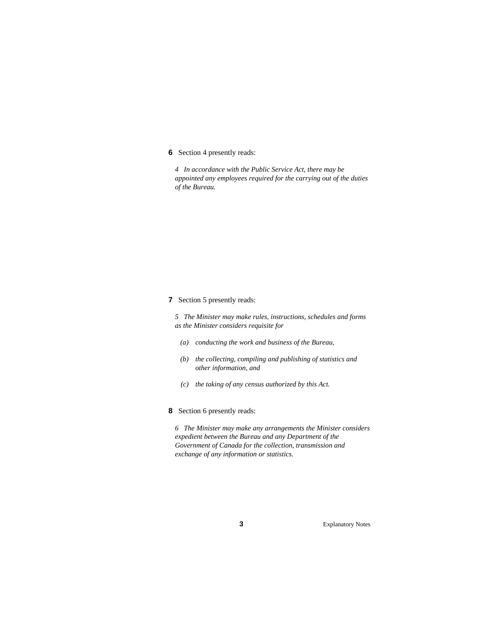# **6** Section 4 presently reads:

*4 In accordance with the Public Service Act, there may be appointed any employees required for the carrying out of the duties of the Bureau.* 

# **7** Section 5 presently reads:

*5 The Minister may make rules, instructions, schedules and forms as the Minister considers requisite for* 

- *(a) conducting the work and business of the Bureau,*
- *(b) the collecting, compiling and publishing of statistics and other information, and*
- *(c) the taking of any census authorized by this Act.*

# **8** Section 6 presently reads:

*6 The Minister may make any arrangements the Minister considers expedient between the Bureau and any Department of the Government of Canada for the collection, transmission and exchange of any information or statistics.*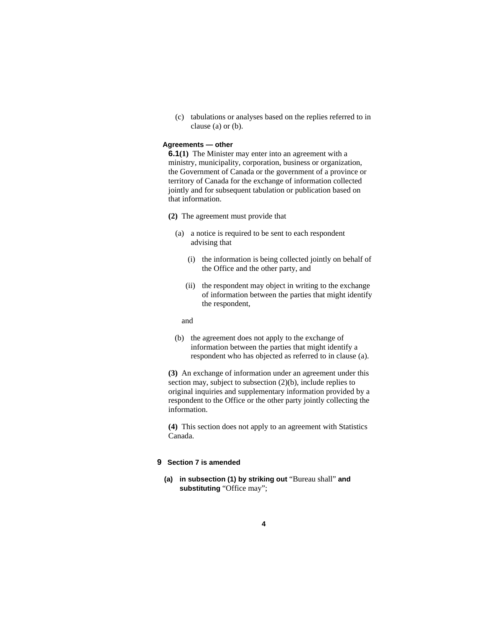(c) tabulations or analyses based on the replies referred to in clause (a) or (b).

# **Agreements — other**

**6.1(1)** The Minister may enter into an agreement with a ministry, municipality, corporation, business or organization, the Government of Canada or the government of a province or territory of Canada for the exchange of information collected jointly and for subsequent tabulation or publication based on that information.

- **(2)** The agreement must provide that
	- (a) a notice is required to be sent to each respondent advising that
		- (i) the information is being collected jointly on behalf of the Office and the other party, and
		- (ii) the respondent may object in writing to the exchange of information between the parties that might identify the respondent,

and

 (b) the agreement does not apply to the exchange of information between the parties that might identify a respondent who has objected as referred to in clause (a).

**(3)** An exchange of information under an agreement under this section may, subject to subsection (2)(b), include replies to original inquiries and supplementary information provided by a respondent to the Office or the other party jointly collecting the information.

**(4)** This section does not apply to an agreement with Statistics Canada.

## **9 Section 7 is amended**

**(a) in subsection (1) by striking out** "Bureau shall" **and substituting** "Office may";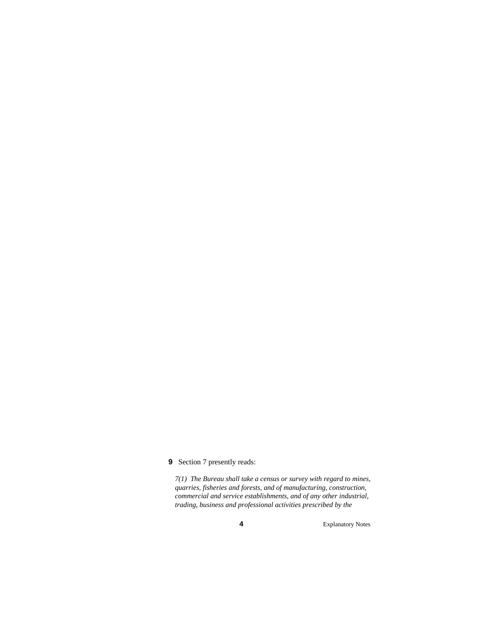# **9** Section 7 presently reads:

*7(1) The Bureau shall take a census or survey with regard to mines, quarries, fisheries and forests, and of manufacturing, construction, commercial and service establishments, and of any other industrial, trading, business and professional activities prescribed by the*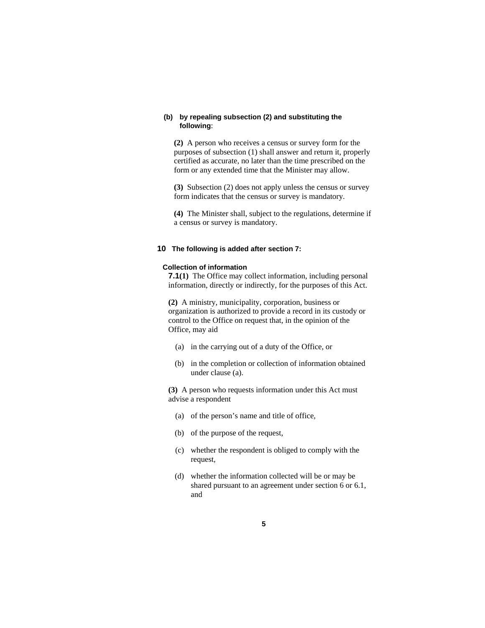# **(b) by repealing subsection (2) and substituting the following**:

**(2)** A person who receives a census or survey form for the purposes of subsection (1) shall answer and return it, properly certified as accurate, no later than the time prescribed on the form or any extended time that the Minister may allow.

**(3)** Subsection (2) does not apply unless the census or survey form indicates that the census or survey is mandatory.

**(4)** The Minister shall, subject to the regulations, determine if a census or survey is mandatory.

# **10 The following is added after section 7:**

#### **Collection of information**

**7.1(1)** The Office may collect information, including personal information, directly or indirectly, for the purposes of this Act.

**(2)** A ministry, municipality, corporation, business or organization is authorized to provide a record in its custody or control to the Office on request that, in the opinion of the Office, may aid

- (a) in the carrying out of a duty of the Office, or
- (b) in the completion or collection of information obtained under clause (a).

**(3)** A person who requests information under this Act must advise a respondent

- (a) of the person's name and title of office,
- (b) of the purpose of the request,
- (c) whether the respondent is obliged to comply with the request,
- (d) whether the information collected will be or may be shared pursuant to an agreement under section 6 or 6.1, and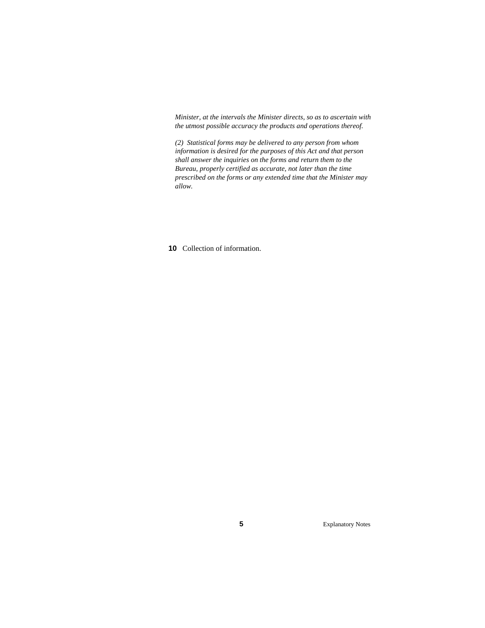*Minister, at the intervals the Minister directs, so as to ascertain with the utmost possible accuracy the products and operations thereof.* 

*(2) Statistical forms may be delivered to any person from whom information is desired for the purposes of this Act and that person shall answer the inquiries on the forms and return them to the Bureau, properly certified as accurate, not later than the time prescribed on the forms or any extended time that the Minister may allow.* 

**10** Collection of information.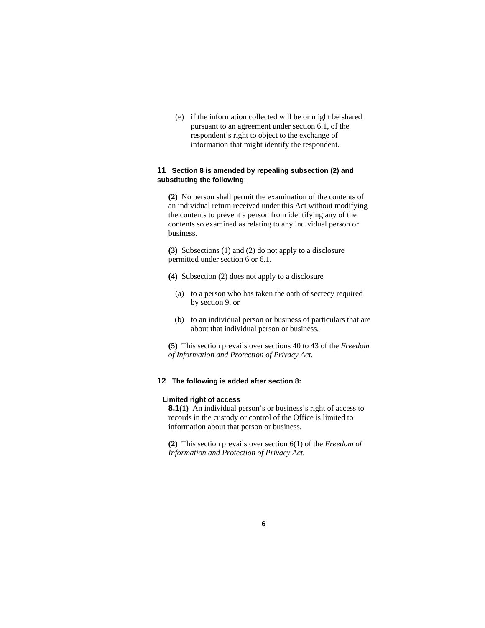(e) if the information collected will be or might be shared pursuant to an agreement under section 6.1, of the respondent's right to object to the exchange of information that might identify the respondent.

# **11 Section 8 is amended by repealing subsection (2) and substituting the following**:

**(2)** No person shall permit the examination of the contents of an individual return received under this Act without modifying the contents to prevent a person from identifying any of the contents so examined as relating to any individual person or business.

**(3)** Subsections (1) and (2) do not apply to a disclosure permitted under section 6 or 6.1.

- **(4)** Subsection (2) does not apply to a disclosure
	- (a) to a person who has taken the oath of secrecy required by section 9, or
	- (b) to an individual person or business of particulars that are about that individual person or business.

**(5)** This section prevails over sections 40 to 43 of the *Freedom of Information and Protection of Privacy Act*.

# **12 The following is added after section 8:**

#### **Limited right of access**

**8.1(1)** An individual person's or business's right of access to records in the custody or control of the Office is limited to information about that person or business.

**(2)** This section prevails over section 6(1) of the *Freedom of Information and Protection of Privacy Act*.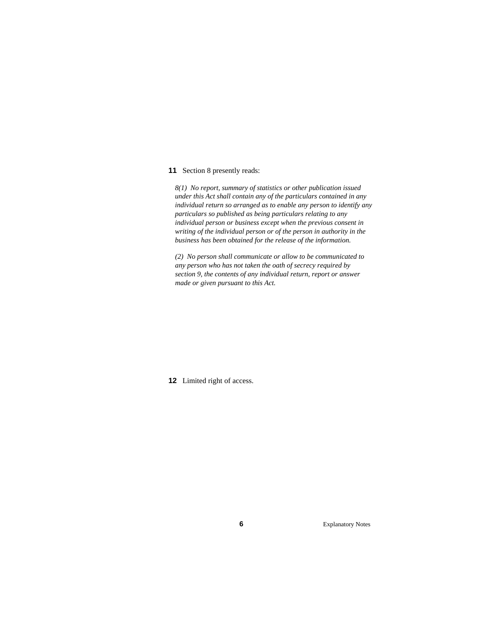#### **11** Section 8 presently reads:

*8(1) No report, summary of statistics or other publication issued under this Act shall contain any of the particulars contained in any individual return so arranged as to enable any person to identify any particulars so published as being particulars relating to any individual person or business except when the previous consent in writing of the individual person or of the person in authority in the business has been obtained for the release of the information.* 

*(2) No person shall communicate or allow to be communicated to any person who has not taken the oath of secrecy required by section 9, the contents of any individual return, report or answer made or given pursuant to this Act.* 

**12** Limited right of access.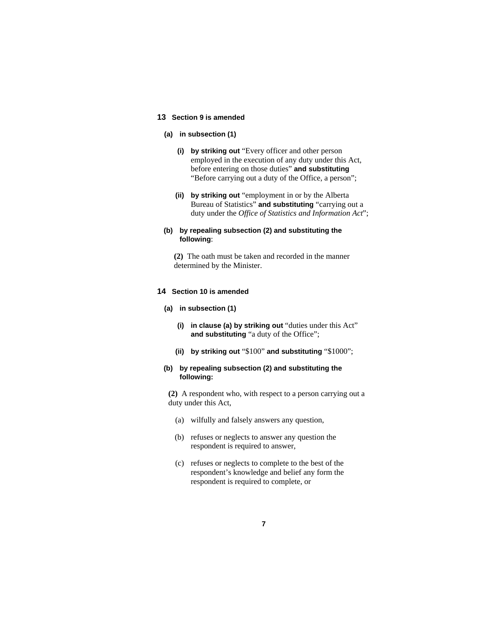## **13 Section 9 is amended**

#### **(a) in subsection (1)**

- **(i) by striking out** "Every officer and other person employed in the execution of any duty under this Act, before entering on those duties" **and substituting** "Before carrying out a duty of the Office, a person";
- **(ii) by striking out** "employment in or by the Alberta Bureau of Statistics" **and substituting** "carrying out a duty under the *Office of Statistics and Information Act*";

# **(b) by repealing subsection (2) and substituting the following**:

**(2)** The oath must be taken and recorded in the manner determined by the Minister.

# **14 Section 10 is amended**

#### **(a) in subsection (1)**

- **(i) in clause (a) by striking out** "duties under this Act" **and substituting** "a duty of the Office";
- **(ii) by striking out** "\$100" **and substituting** "\$1000";

#### **(b) by repealing subsection (2) and substituting the following:**

**(2)** A respondent who, with respect to a person carrying out a duty under this Act,

- (a) wilfully and falsely answers any question,
- (b) refuses or neglects to answer any question the respondent is required to answer,
- (c) refuses or neglects to complete to the best of the respondent's knowledge and belief any form the respondent is required to complete, or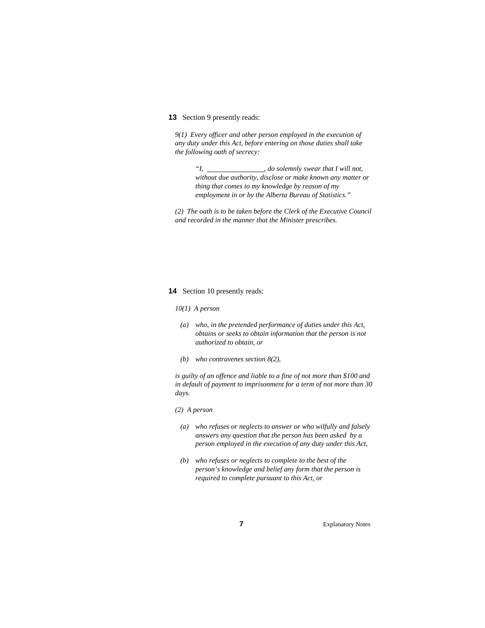# **13** Section 9 presently reads:

*9(1) Every officer and other person employed in the execution of any duty under this Act, before entering on those duties shall take the following oath of secrecy:* 

> *"I, , do solemnly swear that I will not, without due authority, disclose or make known any matter or thing that comes to my knowledge by reason of my employment in or by the Alberta Bureau of Statistics."*

*(2) The oath is to be taken before the Clerk of the Executive Council and recorded in the manner that the Minister prescribes.* 

#### **14** Section 10 presently reads:

*10(1) A person* 

- *(a) who, in the pretended performance of duties under this Act, obtains or seeks to obtain information that the person is not authorized to obtain, or*
- *(b) who contravenes section 8(2),*

*is guilty of an offence and liable to a fine of not more than \$100 and in default of payment to imprisonment for a term of not more than 30 days.* 

#### *(2) A person*

- *(a) who refuses or neglects to answer or who wilfully and falsely answers any question that the person has been asked by a person employed in the execution of any duty under this Act,*
- *(b) who refuses or neglects to complete to the best of the person's knowledge and belief any form that the person is required to complete pursuant to this Act, or*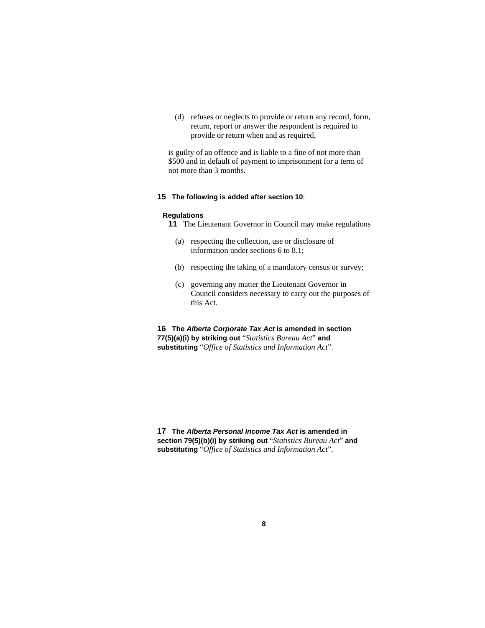(d) refuses or neglects to provide or return any record, form, return, report or answer the respondent is required to provide or return when and as required,

is guilty of an offence and is liable to a fine of not more than \$500 and in default of payment to imprisonment for a term of not more than 3 months.

# **15 The following is added after section 10**:

#### **Regulations**

- **11** The Lieutenant Governor in Council may make regulations
	- (a) respecting the collection, use or disclosure of information under sections 6 to 8.1;
	- (b) respecting the taking of a mandatory census or survey;
	- (c) governing any matter the Lieutenant Governor in Council considers necessary to carry out the purposes of this Act.

**16 The** *Alberta Corporate Tax Act* **is amended in section 77(5)(a)(i) by striking out** "*Statistics Bureau Act*" **and substituting** "*Office of Statistics and Information Act*".

**17 The** *Alberta Personal Income Tax Act* **is amended in section 79(5)(b)(i) by striking out** "*Statistics Bureau Act*" **and substituting** "*Office of Statistics and Information Act*".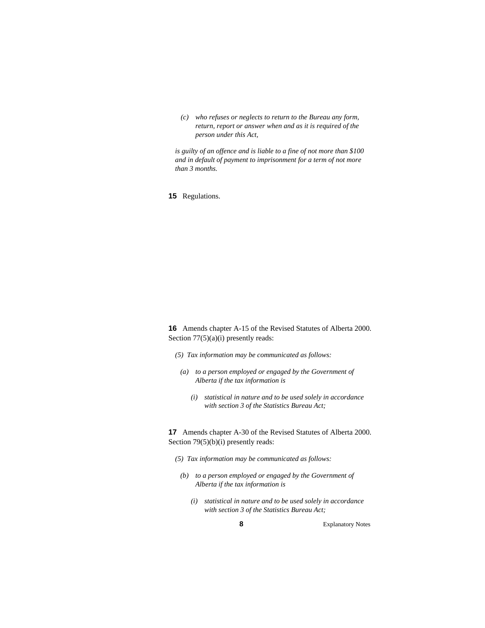*(c) who refuses or neglects to return to the Bureau any form, return, report or answer when and as it is required of the person under this Act,* 

*is guilty of an offence and is liable to a fine of not more than \$100 and in default of payment to imprisonment for a term of not more than 3 months.* 

**15** Regulations.

**16** Amends chapter A-15 of the Revised Statutes of Alberta 2000. Section 77(5)(a)(i) presently reads:

- *(5) Tax information may be communicated as follows:*
- *(a) to a person employed or engaged by the Government of Alberta if the tax information is* 
	- *(i) statistical in nature and to be used solely in accordance with section 3 of the Statistics Bureau Act;*

**17** Amends chapter A-30 of the Revised Statutes of Alberta 2000. Section 79(5)(b)(i) presently reads:

- *(5) Tax information may be communicated as follows:* 
	- *(b) to a person employed or engaged by the Government of Alberta if the tax information is* 
		- *(i) statistical in nature and to be used solely in accordance with section 3 of the Statistics Bureau Act;*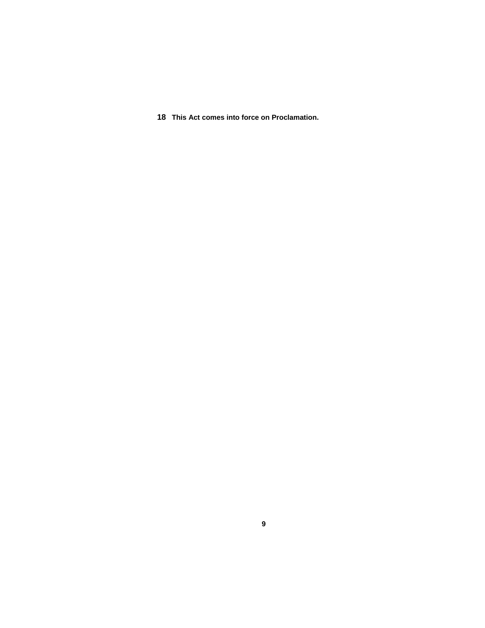**18 This Act comes into force on Proclamation.**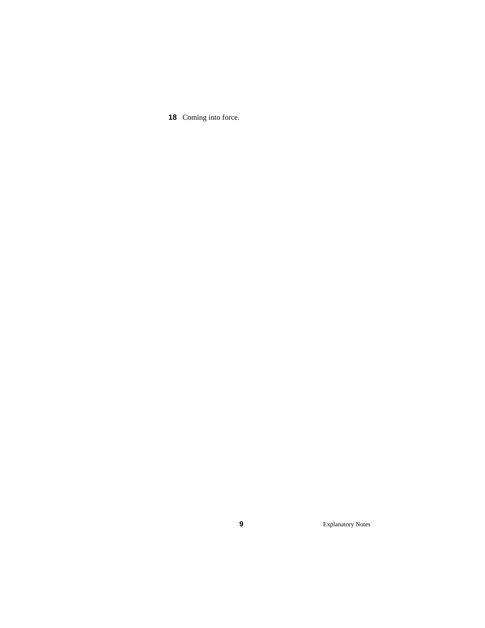Coming into force.